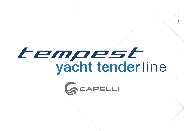# tempest<br>yacht tenderline

CO07/22

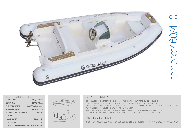

| <b>TECHNICAL FEATURES</b>    |  |                                 |  |  |
|------------------------------|--|---------------------------------|--|--|
| <b>LENGTH O.A.</b>           |  | 4.57/4.10 mt                    |  |  |
| BEAM O.A.                    |  | 2.17/2.08 mt                    |  |  |
| <b>TUBE DIAMETER</b>         |  | $0.48/0.45$ mt max              |  |  |
| <b>WEIGHT (approx.)</b>      |  | 280/260 kg                      |  |  |
| <b>MAX PEOPLE ON BOARD</b>   |  | N°7/6                           |  |  |
| <b>ENGINES</b>               |  | 1L                              |  |  |
| <b>MAX POWER</b>             |  | 70/60 HP                        |  |  |
| <b>CERTIFICATION CE</b><br>C |  |                                 |  |  |
| <b>TUBE</b>                  |  | Neoprene-Hypalon ORCA®1100 dtex |  |  |





## STD EQUIPMENT

CONSOLLE DI GUIDA/STEERING CONSOLE - CUSCINERIA DI PRUA/FORE SUNDECK CUSHIONS GONFIATORE/INFLATING PUMP - LUCI DI NAVIGAZIONE/NAVIGATION LIGHTS - PAGAIE/PADDLES PANCA GUIDA VTR/GRP STEERING BENCH - PANNELLO ELETTRICO/ELECTRIC PANEL - PARABREZZA/WINDSCREEN POMPA DI SENTINA AUTOMATICA/AUTOMATIC BILGE PUMP RIVESTIMENTO FLEXITEEK TRINCARINI/FLEXITEEK COVERING ON STRINGERS - SCALETTA/LADDER

SERBATOIO BENZINA/FUEL TANK (CIRCA/APPROX 75 LT TEMPEST 460 - 60 LT TEMPEST 410)

# OPT EQUIPMENT

RIVESTIMENTO FLEXITEEK POZZETTO/FLEXITEEK COVERING ON COCKPIT - TELO RICOVERO/BOAT STORAGE COVER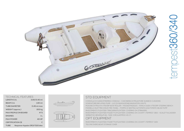

| <b>TECHNICAL FEATURES</b>  |                                 |               |  |  |
|----------------------------|---------------------------------|---------------|--|--|
| LENGTH O.A.                |                                 | 3.60/3.40 mt  |  |  |
| <b>BEAMO.A.</b>            |                                 | 1.80 mt       |  |  |
| <b>TUBE DIAMETER</b>       |                                 | $0.45$ mt max |  |  |
| WEIGHT (approx.)           |                                 | 200 kg        |  |  |
| <b>MAX PEOPLE ON BOARD</b> |                                 | $N^{\circ}$ 5 |  |  |
| <b>ENGINES</b>             |                                 | 1 L           |  |  |
| <b>MAX POWER</b>           |                                 | <b>40 HP</b>  |  |  |
|                            | <b>CERTIFICATION CE</b>         | $\mathsf{C}$  |  |  |
| <b>TUBE</b>                | Neoprene-Hypalon ORCA®1100 dtex |               |  |  |





### STD EQUIPMENT

CONSOLLE DI GUIDA/STEERING CONSOLE - CUSCINERIA DI PRUA/FORE SUNDECK CUSHIONS GONFIATORE/INFLATING PUMP - LUCI DI NAVIGAZIONE/NAVIGATION LIGHTS MUSONE DI PRUA IN VTR/GRP BOW ROLLER - PAGAIE/PADDLES - PANCA GUIDA VTR/GRP STEERING BENCH PANNELLO ELETTRICO/ELECTRIC PANEL - POMPA DI SENTINA AUTOMATICA/AUTOMATIC BILGE PUMP RIVESTIMENTO FLEXITEEK TRINCARINI/FLEXITEEK COVERING ON STRINGERS

RIVESTIMENTO FLEXITEEK POZZETTO/FLEXITEEK COVERING ON COCKPIT (TEMPEST 360) - SCALETTA/LADDER SERBATOIO BENZINA/FUEL TANK (CIRCA/APPROX 40 LT)

# OPT EQUIPMENT

RIVESTIMENTO FLEXITEEK POZZETTO/FLEXITEEK COVERING ON COCKPIT (TEMPEST 340) TELO RICOVERO/BOAT STORAGE COVER